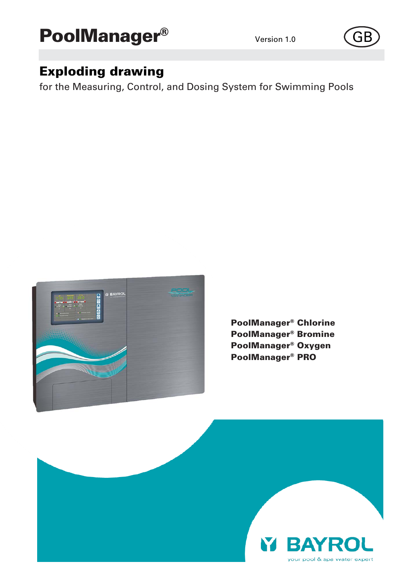



# Exploding drawing

for the Measuring, Control, and Dosing System for Swimming Pools



PoolManager® Chlorine PoolManager® Bromine PoolManager® Oxygen PoolManager® PRO

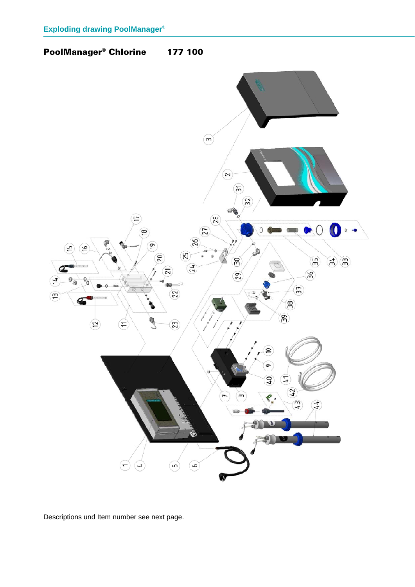# PoolManager® Chlorine 177 100

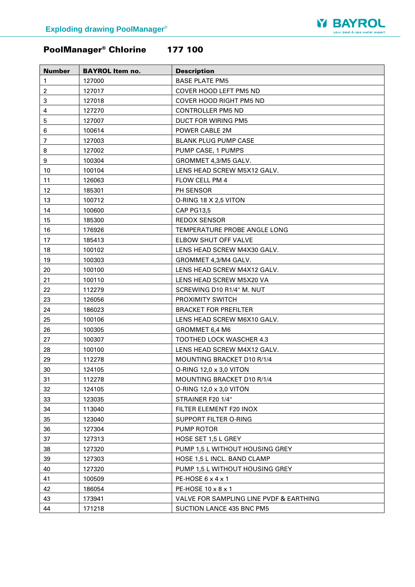

# PoolManager® Chlorine 177 100

| <b>Number</b>    | <b>BAYROL Item no.</b> | <b>Description</b>                      |
|------------------|------------------------|-----------------------------------------|
| 1                | 127000                 | <b>BASE PLATE PM5</b>                   |
| $\overline{c}$   | 127017                 | COVER HOOD LEFT PM5 ND                  |
| 3                | 127018                 | <b>COVER HOOD RIGHT PM5 ND</b>          |
| 4                | 127270                 | <b>CONTROLLER PM5 ND</b>                |
| 5                | 127007                 | <b>DUCT FOR WIRING PM5</b>              |
| 6                | 100614                 | POWER CABLE 2M                          |
| $\overline{7}$   | 127003                 | <b>BLANK PLUG PUMP CASE</b>             |
| 8                | 127002                 | PUMP CASE, 1 PUMPS                      |
| $\boldsymbol{9}$ | 100304                 | GROMMET 4,3/M5 GALV.                    |
| 10               | 100104                 | LENS HEAD SCREW M5X12 GALV.             |
| 11               | 126063                 | FLOW CELL PM 4                          |
| 12               | 185301                 | PH SENSOR                               |
| 13               | 100712                 | O-RING 18 X 2,5 VITON                   |
| 14               | 100600                 | <b>CAP PG13,5</b>                       |
| 15               | 185300                 | <b>REDOX SENSOR</b>                     |
| 16               | 176926                 | TEMPERATURE PROBE ANGLE LONG            |
| 17               | 185413                 | ELBOW SHUT OFF VALVE                    |
| 18               | 100102                 | LENS HEAD SCREW M4X30 GALV.             |
| 19               | 100303                 | GROMMET 4,3/M4 GALV.                    |
| 20               | 100100                 | LENS HEAD SCREW M4X12 GALV.             |
| 21               | 100110                 | LENS HEAD SCREW M5X20 VA                |
| 22               | 112279                 | SCREWING D10 R1/4" M. NUT               |
| 23               | 126056                 | PROXIMITY SWITCH                        |
| 24               | 186023                 | <b>BRACKET FOR PREFILTER</b>            |
| 25               | 100106                 | LENS HEAD SCREW M6X10 GALV.             |
| 26               | 100305                 | GROMMET 6,4 M6                          |
| 27               | 100307                 | <b>TOOTHED LOCK WASCHER 4.3</b>         |
| 28               | 100100                 | LENS HEAD SCREW M4X12 GALV.             |
| 29               | 112278                 | MOUNTING BRACKET D10 R/1/4              |
| 30               | 124105                 | O-RING 12,0 x 3,0 VITON                 |
| 31               | 112278                 | MOUNTING BRACKET D10 R/1/4              |
| 32               | 124105                 | O-RING 12,0 x 3,0 VITON                 |
| 33               | 123035                 | STRAINER F20 1/4"                       |
| 34               | 113040                 | FILTER ELEMENT F20 INOX                 |
| 35               | 123040                 | SUPPORT FILTER O-RING                   |
| 36               | 127304                 | PUMP ROTOR                              |
| 37               | 127313                 | HOSE SET 1,5 L GREY                     |
| 38               | 127320                 | PUMP 1,5 L WITHOUT HOUSING GREY         |
| 39               | 127303                 | <b>HOSE 1.5 L INCL. BAND CLAMP</b>      |
| 40               | 127320                 | PUMP 1,5 L WITHOUT HOUSING GREY         |
| 41               | 100509                 | PE-HOSE $6 \times 4 \times 1$           |
| 42               | 186054                 | PE-HOSE 10 x 8 x 1                      |
| 43               | 173941                 | VALVE FOR SAMPLING LINE PVDF & EARTHING |
| 44               | 171218                 | <b>SUCTION LANCE 435 BNC PM5</b>        |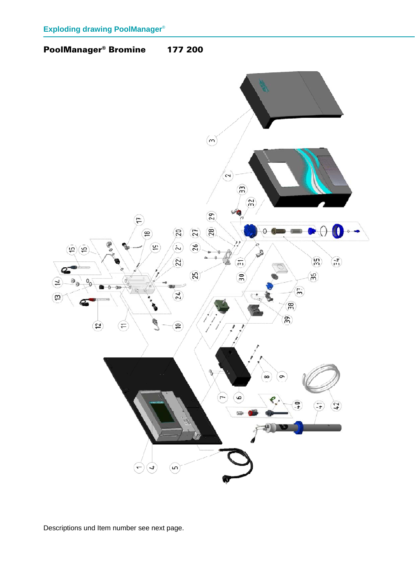## PoolManager® Bromine 177 200

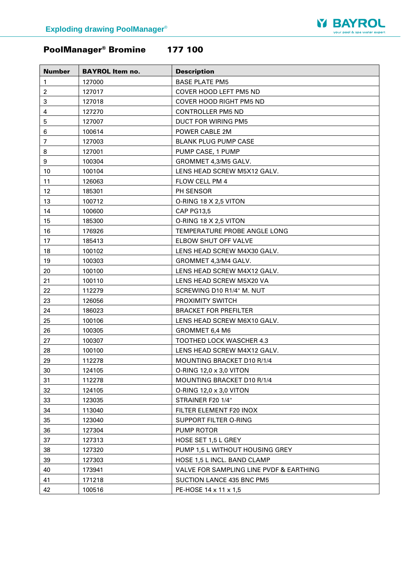

# PoolManager® Bromine 177 100

| <b>Number</b>  | <b>BAYROL Item no.</b> | <b>Description</b>                      |
|----------------|------------------------|-----------------------------------------|
| $\mathbf{1}$   | 127000                 | <b>BASE PLATE PM5</b>                   |
| $\overline{2}$ | 127017                 | COVER HOOD LEFT PM5 ND                  |
| 3              | 127018                 | <b>COVER HOOD RIGHT PM5 ND</b>          |
| 4              | 127270                 | <b>CONTROLLER PM5 ND</b>                |
| 5              | 127007                 | DUCT FOR WIRING PM5                     |
| 6              | 100614                 | POWER CABLE 2M                          |
| $\overline{7}$ | 127003                 | <b>BLANK PLUG PUMP CASE</b>             |
| 8              | 127001                 | PUMP CASE, 1 PUMP                       |
| 9              | 100304                 | GROMMET 4,3/M5 GALV.                    |
| 10             | 100104                 | LENS HEAD SCREW M5X12 GALV.             |
| 11             | 126063                 | FLOW CELL PM 4                          |
| 12             | 185301                 | PH SENSOR                               |
| 13             | 100712                 | O-RING 18 X 2,5 VITON                   |
| 14             | 100600                 | <b>CAP PG13,5</b>                       |
| 15             | 185300                 | O-RING 18 X 2,5 VITON                   |
| 16             | 176926                 | TEMPERATURE PROBE ANGLE LONG            |
| 17             | 185413                 | ELBOW SHUT OFF VALVE                    |
| 18             | 100102                 | LENS HEAD SCREW M4X30 GALV.             |
| 19             | 100303                 | GROMMET 4,3/M4 GALV.                    |
| 20             | 100100                 | LENS HEAD SCREW M4X12 GALV.             |
| 21             | 100110                 | LENS HEAD SCREW M5X20 VA                |
| 22             | 112279                 | SCREWING D10 R1/4" M. NUT               |
| 23             | 126056                 | PROXIMITY SWITCH                        |
| 24             | 186023                 | <b>BRACKET FOR PREFILTER</b>            |
| 25             | 100106                 | LENS HEAD SCREW M6X10 GALV.             |
| 26             | 100305                 | GROMMET 6,4 M6                          |
| 27             | 100307                 | TOOTHED LOCK WASCHER 4.3                |
| 28             | 100100                 | LENS HEAD SCREW M4X12 GALV.             |
| 29             | 112278                 | MOUNTING BRACKET D10 R/1/4              |
| 30             | 124105                 | O-RING 12,0 $\times$ 3,0 VITON          |
| 31             | 112278                 | MOUNTING BRACKET D10 R/1/4              |
| 32             | 124105                 | O-RING 12,0 x 3,0 VITON                 |
| 33             | 123035                 | STRAINER F20 1/4"                       |
| 34             | 113040                 | FILTER ELEMENT F20 INOX                 |
| 35             | 123040                 | SUPPORT FILTER O-RING                   |
| 36             | 127304                 | <b>PUMP ROTOR</b>                       |
| 37             | 127313                 | HOSE SET 1,5 L GREY                     |
| 38             | 127320                 | PUMP 1,5 L WITHOUT HOUSING GREY         |
| 39             | 127303                 | HOSE 1,5 L INCL. BAND CLAMP             |
| 40             | 173941                 | VALVE FOR SAMPLING LINE PVDF & EARTHING |
| 41             | 171218                 | SUCTION LANCE 435 BNC PM5               |
| 42             | 100516                 | PE-HOSE 14 x 11 x 1,5                   |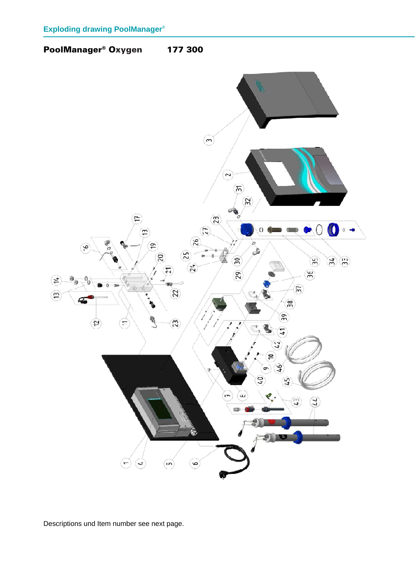## PoolManager® Oxygen 177 300

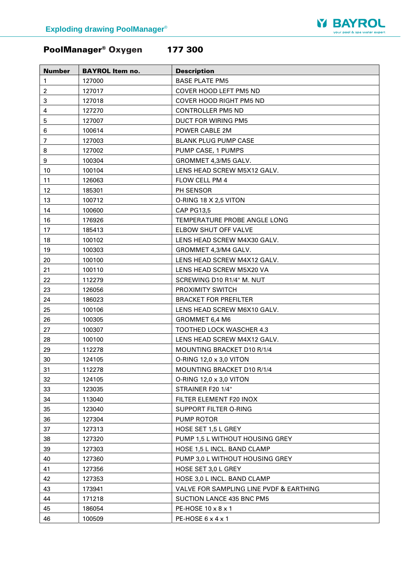

# PoolManager® Oxygen 177 300

| <b>Number</b>    | <b>BAYROL Item no.</b> | <b>Description</b>                      |
|------------------|------------------------|-----------------------------------------|
| $\mathbf{1}$     | 127000                 | <b>BASE PLATE PM5</b>                   |
| $\overline{c}$   | 127017                 | COVER HOOD LEFT PM5 ND                  |
| 3                | 127018                 | COVER HOOD RIGHT PM5 ND                 |
| 4                | 127270                 | <b>CONTROLLER PM5 ND</b>                |
| $\mathbf 5$      | 127007                 | DUCT FOR WIRING PM5                     |
| $\,6$            | 100614                 | POWER CABLE 2M                          |
| 7                | 127003                 | <b>BLANK PLUG PUMP CASE</b>             |
| 8                | 127002                 | PUMP CASE, 1 PUMPS                      |
| $\boldsymbol{9}$ | 100304                 | GROMMET 4,3/M5 GALV.                    |
| 10               | 100104                 | LENS HEAD SCREW M5X12 GALV.             |
| 11               | 126063                 | FLOW CELL PM 4                          |
| 12               | 185301                 | PH SENSOR                               |
| 13               | 100712                 | O-RING 18 X 2,5 VITON                   |
| 14               | 100600                 | <b>CAP PG13,5</b>                       |
| 16               | 176926                 | TEMPERATURE PROBE ANGLE LONG            |
| 17               | 185413                 | ELBOW SHUT OFF VALVE                    |
| 18               | 100102                 | LENS HEAD SCREW M4X30 GALV.             |
| 19               | 100303                 | GROMMET 4,3/M4 GALV.                    |
| 20               | 100100                 | LENS HEAD SCREW M4X12 GALV.             |
| 21               | 100110                 | LENS HEAD SCREW M5X20 VA                |
| 22               | 112279                 | SCREWING D10 R1/4" M. NUT               |
| 23               | 126056                 | PROXIMITY SWITCH                        |
| 24               | 186023                 | <b>BRACKET FOR PREFILTER</b>            |
| 25               | 100106                 | LENS HEAD SCREW M6X10 GALV.             |
| 26               | 100305                 | GROMMET 6,4 M6                          |
| 27               | 100307                 | TOOTHED LOCK WASCHER 4.3                |
| 28               | 100100                 | LENS HEAD SCREW M4X12 GALV.             |
| 29               | 112278                 | MOUNTING BRACKET D10 R/1/4              |
| 30               | 124105                 | O-RING 12,0 x 3,0 VITON                 |
| 31               | 112278                 | MOUNTING BRACKET D10 R/1/4              |
| 32               | 124105                 | O-RING 12,0 x 3,0 VITON                 |
| 33               | 123035                 | STRAINER F20 1/4"                       |
| 34               | 113040                 | FILTER ELEMENT F20 INOX                 |
| 35               | 123040                 | SUPPORT FILTER O-RING                   |
| 36               | 127304                 | PUMP ROTOR                              |
| 37               | 127313                 | HOSE SET 1,5 L GREY                     |
| 38               | 127320                 | PUMP 1,5 L WITHOUT HOUSING GREY         |
| 39               | 127303                 | HOSE 1,5 L INCL. BAND CLAMP             |
| 40               | 127360                 | PUMP 3,0 L WITHOUT HOUSING GREY         |
| 41               | 127356                 | HOSE SET 3,0 L GREY                     |
| 42               | 127353                 | HOSE 3,0 L INCL. BAND CLAMP             |
| 43               | 173941                 | VALVE FOR SAMPLING LINE PVDF & EARTHING |
| 44               | 171218                 | SUCTION LANCE 435 BNC PM5               |
| 45               | 186054                 | PE-HOSE $10 \times 8 \times 1$          |
| 46               | 100509                 | PE-HOSE $6 \times 4 \times 1$           |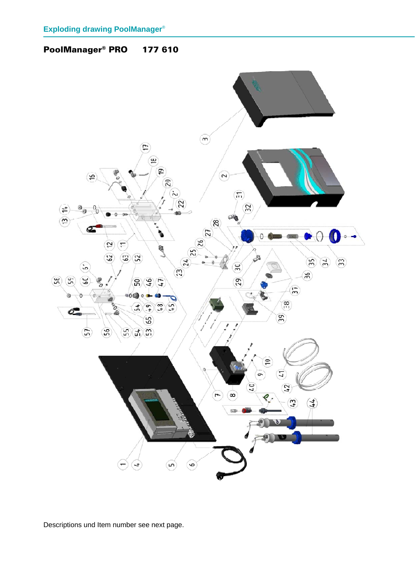## PoolManager® PRO 177 610

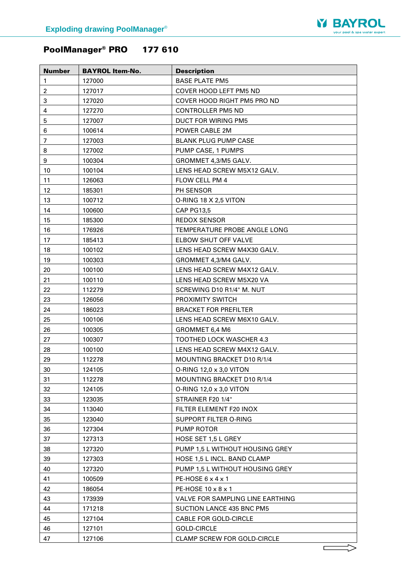

# PoolManager® PRO 177 610

| <b>Number</b>           | <b>BAYROL Item-No.</b> | <b>Description</b>                 |
|-------------------------|------------------------|------------------------------------|
| 1                       | 127000                 | <b>BASE PLATE PM5</b>              |
| $\overline{\mathbf{c}}$ | 127017                 | <b>COVER HOOD LEFT PM5 ND</b>      |
| 3                       | 127020                 | COVER HOOD RIGHT PM5 PRO ND        |
| 4                       | 127270                 | <b>CONTROLLER PM5 ND</b>           |
| 5                       | 127007                 | DUCT FOR WIRING PM5                |
| 6                       | 100614                 | POWER CABLE 2M                     |
| 7                       | 127003                 | <b>BLANK PLUG PUMP CASE</b>        |
| 8                       | 127002                 | PUMP CASE, 1 PUMPS                 |
| 9                       | 100304                 | GROMMET 4,3/M5 GALV.               |
| 10                      | 100104                 | LENS HEAD SCREW M5X12 GALV.        |
| 11                      | 126063                 | FLOW CELL PM 4                     |
| 12                      | 185301                 | PH SENSOR                          |
| 13                      | 100712                 | O-RING 18 X 2,5 VITON              |
| 14                      | 100600                 | <b>CAP PG13,5</b>                  |
| 15                      | 185300                 | <b>REDOX SENSOR</b>                |
| 16                      | 176926                 | TEMPERATURE PROBE ANGLE LONG       |
| 17                      | 185413                 | ELBOW SHUT OFF VALVE               |
| 18                      | 100102                 | LENS HEAD SCREW M4X30 GALV.        |
| 19                      | 100303                 | GROMMET 4.3/M4 GALV.               |
| 20                      | 100100                 | LENS HEAD SCREW M4X12 GALV.        |
| 21                      | 100110                 | LENS HEAD SCREW M5X20 VA           |
| 22                      | 112279                 | SCREWING D10 R1/4" M. NUT          |
| 23                      | 126056                 | PROXIMITY SWITCH                   |
| 24                      | 186023                 | <b>BRACKET FOR PREFILTER</b>       |
| 25                      | 100106                 | LENS HEAD SCREW M6X10 GALV.        |
| 26                      | 100305                 | GROMMET 6,4 M6                     |
| 27                      | 100307                 | <b>TOOTHED LOCK WASCHER 4.3</b>    |
| 28                      | 100100                 | LENS HEAD SCREW M4X12 GALV.        |
| 29                      | 112278                 | MOUNTING BRACKET D10 R/1/4         |
| 30                      | 124105                 | O-RING 12,0 x 3,0 VITON            |
| 31                      | 112278                 | MOUNTING BRACKET D10 R/1/4         |
| 32                      | 124105                 | O-RING 12,0 x 3,0 VITON            |
| 33                      | 123035                 | STRAINER F20 1/4"                  |
| 34                      | 113040                 | FILTER ELEMENT F20 INOX            |
| 35                      | 123040                 | SUPPORT FILTER O-RING              |
| 36                      | 127304                 | <b>PUMP ROTOR</b>                  |
| 37                      | 127313                 | HOSE SET 1,5 L GREY                |
| 38                      | 127320                 | PUMP 1,5 L WITHOUT HOUSING GREY    |
| 39                      | 127303                 | HOSE 1,5 L INCL. BAND CLAMP        |
| 40                      | 127320                 | PUMP 1,5 L WITHOUT HOUSING GREY    |
| 41                      | 100509                 | PE-HOSE $6 \times 4 \times 1$      |
| 42                      | 186054                 | PE-HOSE 10 x 8 x 1                 |
| 43                      | 173939                 | VALVE FOR SAMPLING LINE EARTHING   |
| 44                      | 171218                 | SUCTION LANCE 435 BNC PM5          |
| 45                      | 127104                 | <b>CABLE FOR GOLD-CIRCLE</b>       |
| 46                      | 127101                 | <b>GOLD-CIRCLE</b>                 |
| 47                      | 127106                 | <b>CLAMP SCREW FOR GOLD-CIRCLE</b> |
|                         |                        |                                    |